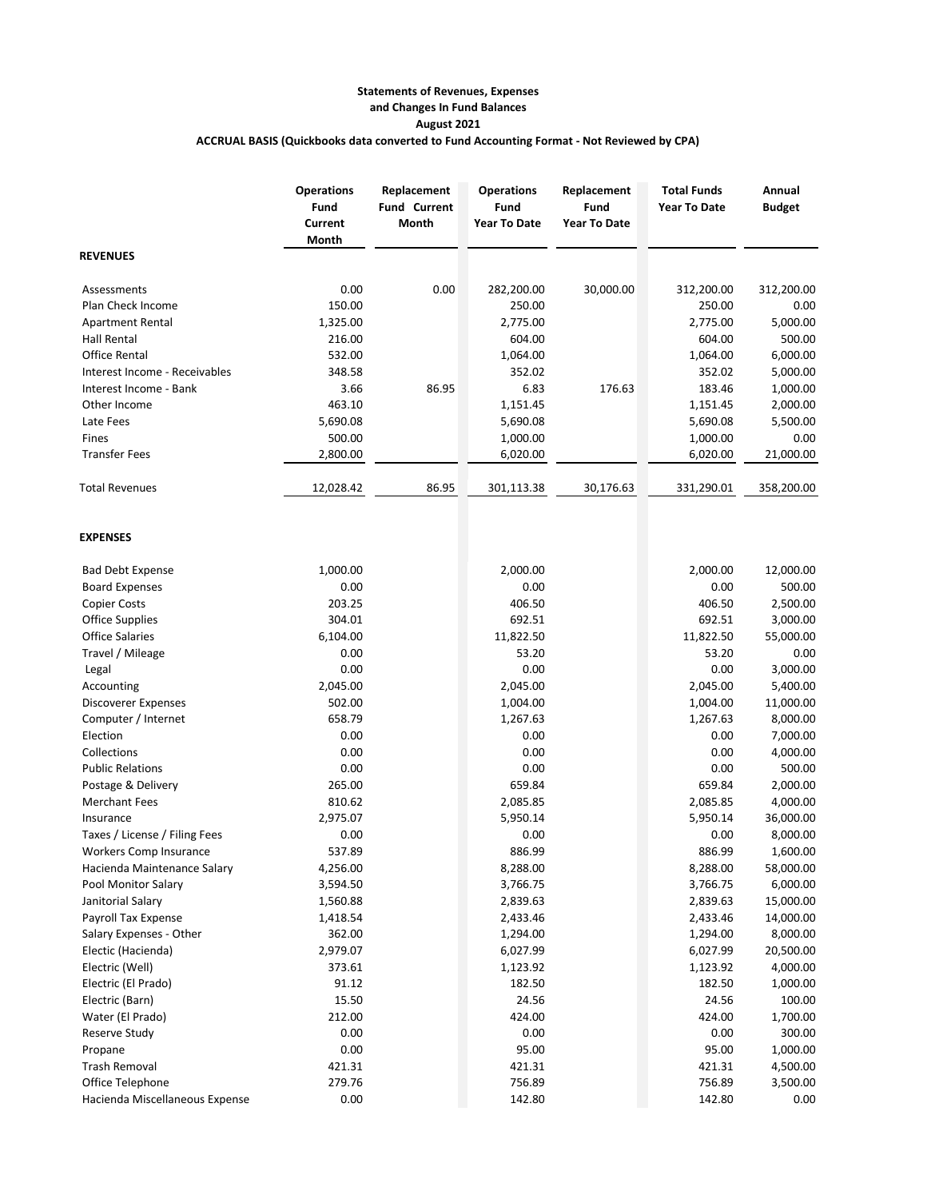## **Statements of Revenues, Expenses and Changes In Fund Balances August 2021 ACCRUAL BASIS (Quickbooks data converted to Fund Accounting Format - Not Reviewed by CPA)**

|                                | <b>Operations</b><br>Fund<br><b>Current</b><br>Month | Replacement<br><b>Fund Current</b><br>Month | <b>Operations</b><br>Fund<br><b>Year To Date</b> | Replacement<br>Fund<br><b>Year To Date</b> | <b>Total Funds</b><br><b>Year To Date</b> | Annual<br><b>Budget</b> |
|--------------------------------|------------------------------------------------------|---------------------------------------------|--------------------------------------------------|--------------------------------------------|-------------------------------------------|-------------------------|
| <b>REVENUES</b>                |                                                      |                                             |                                                  |                                            |                                           |                         |
| Assessments                    | 0.00                                                 | 0.00                                        | 282,200.00                                       | 30,000.00                                  | 312,200.00                                | 312,200.00              |
| Plan Check Income              | 150.00                                               |                                             | 250.00                                           |                                            | 250.00                                    | 0.00                    |
| <b>Apartment Rental</b>        | 1,325.00                                             |                                             | 2,775.00                                         |                                            | 2,775.00                                  | 5,000.00                |
| Hall Rental                    | 216.00                                               |                                             | 604.00                                           |                                            | 604.00                                    | 500.00                  |
| <b>Office Rental</b>           | 532.00                                               |                                             | 1,064.00                                         |                                            | 1,064.00                                  | 6,000.00                |
| Interest Income - Receivables  | 348.58                                               |                                             | 352.02                                           |                                            | 352.02                                    | 5,000.00                |
| Interest Income - Bank         | 3.66                                                 | 86.95                                       | 6.83                                             | 176.63                                     | 183.46                                    | 1,000.00                |
| Other Income                   | 463.10                                               |                                             | 1,151.45                                         |                                            | 1,151.45                                  | 2,000.00                |
| Late Fees                      | 5,690.08                                             |                                             | 5,690.08                                         |                                            | 5,690.08                                  | 5,500.00                |
| Fines                          | 500.00                                               |                                             | 1,000.00                                         |                                            | 1,000.00                                  | 0.00                    |
| <b>Transfer Fees</b>           | 2,800.00                                             |                                             | 6,020.00                                         |                                            | 6,020.00                                  | 21,000.00               |
| <b>Total Revenues</b>          | 12,028.42                                            | 86.95                                       | 301,113.38                                       | 30,176.63                                  | 331,290.01                                | 358,200.00              |
| <b>EXPENSES</b>                |                                                      |                                             |                                                  |                                            |                                           |                         |
| <b>Bad Debt Expense</b>        | 1,000.00                                             |                                             | 2,000.00                                         |                                            | 2,000.00                                  | 12,000.00               |
| <b>Board Expenses</b>          | 0.00                                                 |                                             | 0.00                                             |                                            | 0.00                                      | 500.00                  |
| <b>Copier Costs</b>            | 203.25                                               |                                             | 406.50                                           |                                            | 406.50                                    | 2,500.00                |
| <b>Office Supplies</b>         | 304.01                                               |                                             | 692.51                                           |                                            | 692.51                                    | 3,000.00                |
| <b>Office Salaries</b>         | 6,104.00                                             |                                             | 11,822.50                                        |                                            | 11,822.50                                 | 55,000.00               |
| Travel / Mileage               | 0.00                                                 |                                             | 53.20                                            |                                            | 53.20                                     | 0.00                    |
| Legal                          | 0.00                                                 |                                             | 0.00                                             |                                            | 0.00                                      | 3,000.00                |
| Accounting                     | 2,045.00                                             |                                             | 2,045.00                                         |                                            | 2,045.00                                  | 5,400.00                |
| Discoverer Expenses            | 502.00                                               |                                             | 1,004.00                                         |                                            | 1,004.00                                  | 11,000.00               |
| Computer / Internet            | 658.79                                               |                                             | 1,267.63                                         |                                            | 1,267.63                                  | 8,000.00                |
| Election                       | 0.00                                                 |                                             | 0.00                                             |                                            | 0.00                                      | 7,000.00                |
| Collections                    | 0.00                                                 |                                             | 0.00                                             |                                            | 0.00                                      | 4,000.00                |
| <b>Public Relations</b>        | 0.00                                                 |                                             | 0.00                                             |                                            | 0.00                                      | 500.00                  |
| Postage & Delivery             | 265.00                                               |                                             | 659.84                                           |                                            | 659.84                                    | 2,000.00                |
| <b>Merchant Fees</b>           | 810.62                                               |                                             | 2,085.85                                         |                                            | 2,085.85                                  | 4,000.00                |
| Insurance                      | 2,975.07                                             |                                             | 5,950.14                                         |                                            | 5,950.14                                  | 36,000.00               |
| Taxes / License / Filing Fees  | 0.00                                                 |                                             | 0.00                                             |                                            | 0.00                                      | 8,000.00                |
| Workers Comp Insurance         | 537.89                                               |                                             | 886.99                                           |                                            | 886.99                                    | 1,600.00                |
| Hacienda Maintenance Salary    | 4,256.00                                             |                                             | 8,288.00                                         |                                            | 8,288.00                                  | 58,000.00               |
| Pool Monitor Salary            | 3,594.50                                             |                                             | 3,766.75                                         |                                            | 3,766.75                                  | 6,000.00                |
| Janitorial Salary              | 1,560.88                                             |                                             | 2,839.63                                         |                                            | 2,839.63                                  | 15,000.00               |
| Payroll Tax Expense            | 1,418.54                                             |                                             | 2,433.46                                         |                                            | 2,433.46                                  | 14,000.00               |
| Salary Expenses - Other        | 362.00                                               |                                             | 1,294.00                                         |                                            | 1,294.00                                  | 8,000.00                |
| Electic (Hacienda)             | 2,979.07                                             |                                             | 6,027.99                                         |                                            | 6,027.99                                  | 20,500.00               |
| Electric (Well)                | 373.61                                               |                                             | 1,123.92                                         |                                            | 1,123.92                                  | 4,000.00                |
| Electric (El Prado)            | 91.12                                                |                                             | 182.50                                           |                                            | 182.50                                    | 1,000.00                |
| Electric (Barn)                | 15.50                                                |                                             | 24.56                                            |                                            | 24.56                                     | 100.00                  |
| Water (El Prado)               | 212.00                                               |                                             | 424.00                                           |                                            | 424.00                                    | 1,700.00                |
| Reserve Study                  | 0.00                                                 |                                             | 0.00                                             |                                            | 0.00                                      | 300.00                  |
| Propane                        | 0.00                                                 |                                             | 95.00                                            |                                            | 95.00                                     | 1,000.00                |
| <b>Trash Removal</b>           | 421.31                                               |                                             | 421.31                                           |                                            | 421.31                                    | 4,500.00                |
| Office Telephone               | 279.76                                               |                                             | 756.89                                           |                                            | 756.89                                    | 3,500.00                |
| Hacienda Miscellaneous Expense | 0.00                                                 |                                             | 142.80                                           |                                            | 142.80                                    | 0.00                    |